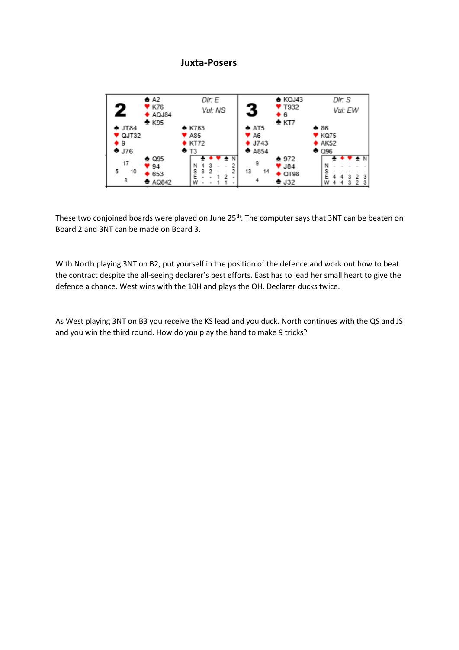## **Juxta-Posers**



These two conjoined boards were played on June 25<sup>th</sup>. The computer says that 3NT can be beaten on Board 2 and 3NT can be made on Board 3.

With North playing 3NT on B2, put yourself in the position of the defence and work out how to beat the contract despite the all-seeing declarer's best efforts. East has to lead her small heart to give the defence a chance. West wins with the 10H and plays the QH. Declarer ducks twice.

As West playing 3NT on B3 you receive the KS lead and you duck. North continues with the QS and JS and you win the third round. How do you play the hand to make 9 tricks?